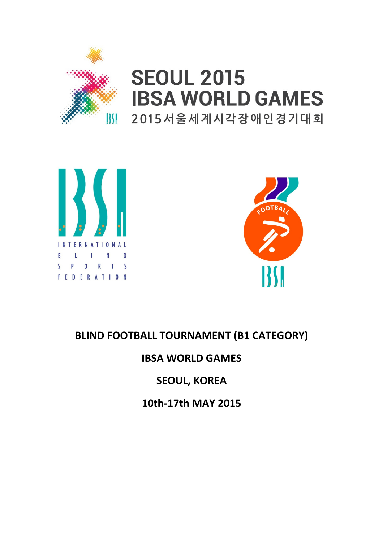

# **SEOUL 2015 IBSA WORLD GAMES** 2015 서울세계시각장애인경기대회





## BLIND FOOTBALL TOURNAMENT (B1 CATEGORY)

### IBSA WORLD GAMES

### SEOUL, KOREA

10th-17th MAY 2015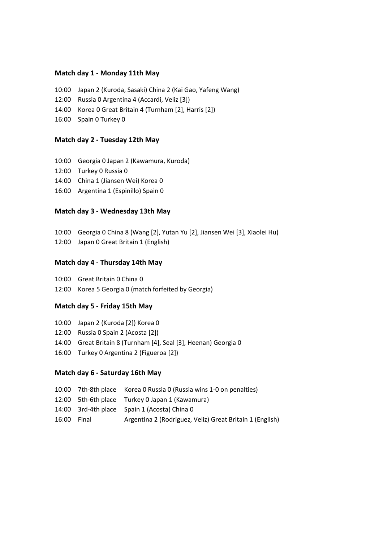#### Match day 1 - Monday 11th May

- 10:00 Japan 2 (Kuroda, Sasaki) China 2 (Kai Gao, Yafeng Wang)
- 12:00 Russia 0 Argentina 4 (Accardi, Veliz [3])
- 14:00 Korea 0 Great Britain 4 (Turnham [2], Harris [2])
- 16:00 Spain 0 Turkey 0

#### Match day 2 - Tuesday 12th May

- 10:00 Georgia 0 Japan 2 (Kawamura, Kuroda)
- 12:00 Turkey 0 Russia 0
- 14:00 China 1 (Jiansen Wei) Korea 0
- 16:00 Argentina 1 (Espinillo) Spain 0

#### Match day 3 - Wednesday 13th May

- 10:00 Georgia 0 China 8 (Wang [2], Yutan Yu [2], Jiansen Wei [3], Xiaolei Hu)
- 12:00 Japan 0 Great Britain 1 (English)

#### Match day 4 - Thursday 14th May

- 10:00 Great Britain 0 China 0
- 12:00 Korea 5 Georgia 0 (match forfeited by Georgia)

#### Match day 5 - Friday 15th May

- 10:00 Japan 2 (Kuroda [2]) Korea 0
- 12:00 Russia 0 Spain 2 (Acosta [2])
- 14:00 Great Britain 8 (Turnham [4], Seal [3], Heenan) Georgia 0
- 16:00 Turkey 0 Argentina 2 (Figueroa [2])

#### Match day 6 - Saturday 16th May

|  | 10:00 7th-8th place Korea 0 Russia 0 (Russia wins 1-0 on penalties) |  |
|--|---------------------------------------------------------------------|--|
|  | 12:00 5th-6th place Turkey 0 Japan 1 (Kawamura)                     |  |

- 14:00 3rd-4th place Spain 1 (Acosta) China 0
- 16:00 Final Argentina 2 (Rodriguez, Veliz) Great Britain 1 (English)